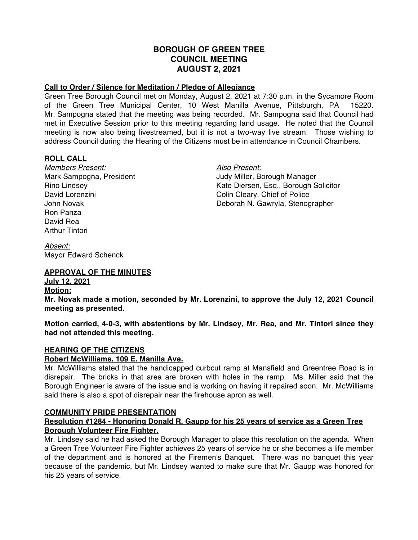## **BOROUGH OF GREEN TREE COUNCIL MEETING AUGUST 2, 2021**

## **Call to Order / Silence for Meditation / Pledge of Allegiance**

Green Tree Borough Council met on Monday, August 2, 2021 at 7:30 p.m. in the Sycamore Room of the Green Tree Municipal Center, 10 West Manilla Avenue, Pittsburgh, PA 15220. Mr. Sampogna stated that the meeting was being recorded. Mr. Sampogna said that Council had met in Executive Session prior to this meeting regarding land usage. He noted that the Council meeting is now also being livestreamed, but it is not a two-way live stream. Those wishing to address Council during the Hearing of the Citizens must be in attendance in Council Chambers.

## **ROLL CALL**

*Members Present: Also Present:* David Lorenzini **Colling Colin Cleary**, Chief of Police Ron Panza David Rea Arthur Tintori

Mark Sampogna, President **Mark Sampogna, President** Judy Miller, Borough Manager Rino Lindsey Kate Diersen, Esq., Borough Solicitor John Novak Deborah N. Gawryla, Stenographer

*Absent:* Mayor Edward Schenck

## **APPROVAL OF THE MINUTES**

# **July 12, 2021**

**Motion:**

**Mr. Novak made a motion, seconded by Mr. Lorenzini, to approve the July 12, 2021 Council meeting as presented.**

**Motion carried, 4-0-3, with abstentions by Mr. Lindsey, Mr. Rea, and Mr. Tintori since they had not attended this meeting.**

## **HEARING OF THE CITIZENS**

## **Robert McWilliams, 109 E. Manilla Ave.**

Mr. McWilliams stated that the handicapped curbcut ramp at Mansfield and Greentree Road is in disrepair. The bricks in that area are broken with holes in the ramp. Ms. Miller said that the Borough Engineer is aware of the issue and is working on having it repaired soon. Mr. McWilliams said there is also a spot of disrepair near the firehouse apron as well.

#### **COMMUNITY PRIDE PRESENTATION**

## **Resolution #1284 - Honoring Donald R. Gaupp for his 25 years of service as a Green Tree Borough Volunteer Fire Fighter.**

Mr. Lindsey said he had asked the Borough Manager to place this resolution on the agenda. When a Green Tree Volunteer Fire Fighter achieves 25 years of service he or she becomes a life member of the department and is honored at the Firemen's Banquet. There was no banquet this year because of the pandemic, but Mr. Lindsey wanted to make sure that Mr. Gaupp was honored for his 25 years of service.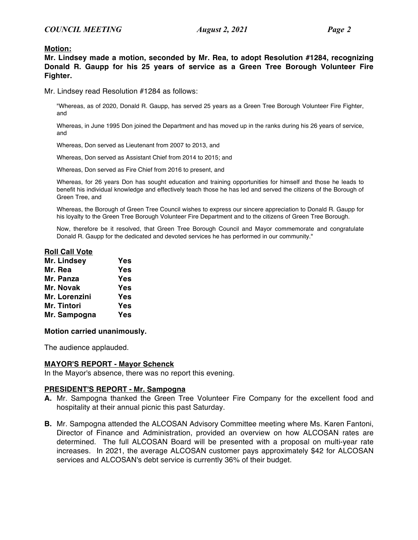#### **Motion:**

**Mr. Lindsey made a motion, seconded by Mr. Rea, to adopt Resolution #1284, recognizing Donald R. Gaupp for his 25 years of service as a Green Tree Borough Volunteer Fire Fighter.**

Mr. Lindsey read Resolution #1284 as follows:

"Whereas, as of 2020, Donald R. Gaupp, has served 25 years as a Green Tree Borough Volunteer Fire Fighter, and

Whereas, in June 1995 Don joined the Department and has moved up in the ranks during his 26 years of service, and

Whereas, Don served as Lieutenant from 2007 to 2013, and

Whereas, Don served as Assistant Chief from 2014 to 2015; and

Whereas, Don served as Fire Chief from 2016 to present, and

Whereas, for 26 years Don has sought education and training opportunities for himself and those he leads to benefit his individual knowledge and effectively teach those he has led and served the citizens of the Borough of Green Tree, and

Whereas, the Borough of Green Tree Council wishes to express our sincere appreciation to Donald R. Gaupp for his loyalty to the Green Tree Borough Volunteer Fire Department and to the citizens of Green Tree Borough.

Now, therefore be it resolved, that Green Tree Borough Council and Mayor commemorate and congratulate Donald R. Gaupp for the dedicated and devoted services he has performed in our community."

#### **Roll Call Vote**

| Mr. Lindsey   | Yes |
|---------------|-----|
| Mr. Rea       | Yes |
| Mr. Panza     | Yes |
| Mr. Novak     | Yes |
| Mr. Lorenzini | Yes |
| Mr. Tintori   | Yes |
| Mr. Sampogna  | Yes |

#### **Motion carried unanimously.**

The audience applauded.

#### **MAYOR'S REPORT - Mayor Schenck**

In the Mayor's absence, there was no report this evening.

#### **PRESIDENT'S REPORT - Mr. Sampogna**

- **A.** Mr. Sampogna thanked the Green Tree Volunteer Fire Company for the excellent food and hospitality at their annual picnic this past Saturday.
- **B.** Mr. Sampogna attended the ALCOSAN Advisory Committee meeting where Ms. Karen Fantoni, Director of Finance and Administration, provided an overview on how ALCOSAN rates are determined. The full ALCOSAN Board will be presented with a proposal on multi-year rate increases. In 2021, the average ALCOSAN customer pays approximately \$42 for ALCOSAN services and ALCOSAN's debt service is currently 36% of their budget.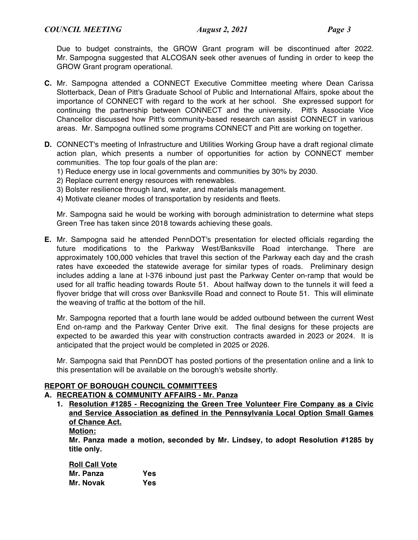Due to budget constraints, the GROW Grant program will be discontinued after 2022. Mr. Sampogna suggested that ALCOSAN seek other avenues of funding in order to keep the GROW Grant program operational.

- **C.** Mr. Sampogna attended a CONNECT Executive Committee meeting where Dean Carissa Slotterback, Dean of Pitt's Graduate School of Public and International Affairs, spoke about the importance of CONNECT with regard to the work at her school. She expressed support for continuing the partnership between CONNECT and the university. Pitt's Associate Vice Chancellor discussed how Pitt's community-based research can assist CONNECT in various areas. Mr. Sampogna outlined some programs CONNECT and Pitt are working on together.
- **D.** CONNECT's meeting of Infrastructure and Utilities Working Group have a draft regional climate action plan, which presents a number of opportunities for action by CONNECT member communities. The top four goals of the plan are:
	- 1) Reduce energy use in local governments and communities by 30% by 2030.
	- 2) Replace current energy resources with renewables.
	- 3) Bolster resilience through land, water, and materials management.
	- 4) Motivate cleaner modes of transportation by residents and fleets.

Mr. Sampogna said he would be working with borough administration to determine what steps Green Tree has taken since 2018 towards achieving these goals.

**E.** Mr. Sampogna said he attended PennDOT's presentation for elected officials regarding the future modifications to the Parkway West/Banksville Road interchange. There are approximately 100,000 vehicles that travel this section of the Parkway each day and the crash rates have exceeded the statewide average for similar types of roads. Preliminary design includes adding a lane at I-376 inbound just past the Parkway Center on-ramp that would be used for all traffic heading towards Route 51. About halfway down to the tunnels it will feed a flyover bridge that will cross over Banksville Road and connect to Route 51. This will eliminate the weaving of traffic at the bottom of the hill.

Mr. Sampogna reported that a fourth lane would be added outbound between the current West End on-ramp and the Parkway Center Drive exit. The final designs for these projects are expected to be awarded this year with construction contracts awarded in 2023 or 2024. It is anticipated that the project would be completed in 2025 or 2026.

Mr. Sampogna said that PennDOT has posted portions of the presentation online and a link to this presentation will be available on the borough's website shortly.

## **REPORT OF BOROUGH COUNCIL COMMITTEES**

#### **A. RECREATION & COMMUNITY AFFAIRS - Mr. Panza**

- **1. Resolution #1285 Recognizing the Green Tree Volunteer Fire Company as a Civic and Service Association as defined in the Pennsylvania Local Option Small Games of Chance Act.**
	- **Motion:**

**Mr. Panza made a motion, seconded by Mr. Lindsey, to adopt Resolution #1285 by title only.**

| <b>Roll Call Vote</b> |     |
|-----------------------|-----|
| Mr. Panza             | Yes |
| Mr. Novak             | Yes |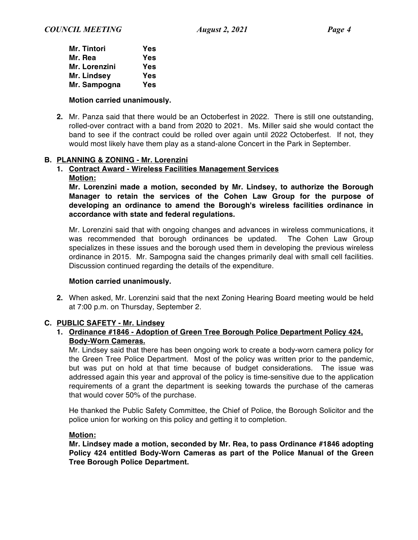| <b>Mr. Tintori</b> | Yes |
|--------------------|-----|
| Mr. Rea            | Yes |
| Mr. Lorenzini      | Yes |
| Mr. Lindsey        | Yes |
| Mr. Sampogna       | Yes |

#### **Motion carried unanimously.**

**2.** Mr. Panza said that there would be an Octoberfest in 2022. There is still one outstanding, rolled-over contract with a band from 2020 to 2021. Ms. Miller said she would contact the band to see if the contract could be rolled over again until 2022 Octoberfest. If not, they would most likely have them play as a stand-alone Concert in the Park in September.

## **B. PLANNING & ZONING - Mr. Lorenzini**

## **1. Contract Award - Wireless Facilities Management Services**

**Motion:**

**Mr. Lorenzini made a motion, seconded by Mr. Lindsey, to authorize the Borough Manager to retain the services of the Cohen Law Group for the purpose of developing an ordinance to amend the Borough's wireless facilities ordinance in accordance with state and federal regulations.**

Mr. Lorenzini said that with ongoing changes and advances in wireless communications, it was recommended that borough ordinances be updated. The Cohen Law Group specializes in these issues and the borough used them in developing the previous wireless ordinance in 2015. Mr. Sampogna said the changes primarily deal with small cell facilities. Discussion continued regarding the details of the expenditure.

#### **Motion carried unanimously.**

**2.** When asked, Mr. Lorenzini said that the next Zoning Hearing Board meeting would be held at 7:00 p.m. on Thursday, September 2.

#### **C. PUBLIC SAFETY - Mr. Lindsey**

## **1. Ordinance #1846 - Adoption of Green Tree Borough Police Department Policy 424, Body-Worn Cameras.**

Mr. Lindsey said that there has been ongoing work to create a body-worn camera policy for the Green Tree Police Department. Most of the policy was written prior to the pandemic, but was put on hold at that time because of budget considerations. The issue was addressed again this year and approval of the policy is time-sensitive due to the application requirements of a grant the department is seeking towards the purchase of the cameras that would cover 50% of the purchase.

He thanked the Public Safety Committee, the Chief of Police, the Borough Solicitor and the police union for working on this policy and getting it to completion.

#### **Motion:**

**Mr. Lindsey made a motion, seconded by Mr. Rea, to pass Ordinance #1846 adopting Policy 424 entitled Body-Worn Cameras as part of the Police Manual of the Green Tree Borough Police Department.**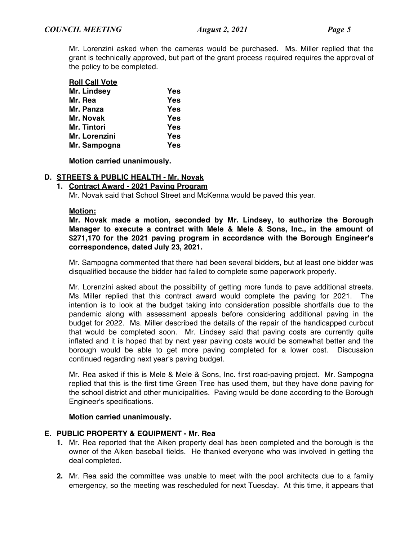Mr. Lorenzini asked when the cameras would be purchased. Ms. Miller replied that the grant is technically approved, but part of the grant process required requires the approval of the policy to be completed.

| <b>Roll Call Vote</b> |     |
|-----------------------|-----|
| Mr. Lindsey           | Yes |
| Mr. Rea               | Yes |
| Mr. Panza             | Yes |
| Mr. Novak             | Yes |
| Mr. Tintori           | Yes |
| Mr. Lorenzini         | Yes |
| Mr. Sampogna          | Yes |

**Motion carried unanimously.**

## **D. STREETS & PUBLIC HEALTH - Mr. Novak**

**1. Contract Award - 2021 Paving Program**

Mr. Novak said that School Street and McKenna would be paved this year.

#### **Motion:**

**Mr. Novak made a motion, seconded by Mr. Lindsey, to authorize the Borough Manager to execute a contract with Mele & Mele & Sons, Inc., in the amount of \$271,170 for the 2021 paving program in accordance with the Borough Engineer's correspondence, dated July 23, 2021.**

Mr. Sampogna commented that there had been several bidders, but at least one bidder was disqualified because the bidder had failed to complete some paperwork properly.

Mr. Lorenzini asked about the possibility of getting more funds to pave additional streets. Ms. Miller replied that this contract award would complete the paving for 2021. The intention is to look at the budget taking into consideration possible shortfalls due to the pandemic along with assessment appeals before considering additional paving in the budget for 2022. Ms. Miller described the details of the repair of the handicapped curbcut that would be completed soon. Mr. Lindsey said that paving costs are currently quite inflated and it is hoped that by next year paving costs would be somewhat better and the borough would be able to get more paving completed for a lower cost. Discussion continued regarding next year's paving budget.

Mr. Rea asked if this is Mele & Mele & Sons, Inc. first road-paving project. Mr. Sampogna replied that this is the first time Green Tree has used them, but they have done paving for the school district and other municipalities. Paving would be done according to the Borough Engineer's specifications.

#### **Motion carried unanimously.**

#### **E. PUBLIC PROPERTY & EQUIPMENT - Mr. Rea**

- **1.** Mr. Rea reported that the Aiken property deal has been completed and the borough is the owner of the Aiken baseball fields. He thanked everyone who was involved in getting the deal completed.
- **2.** Mr. Rea said the committee was unable to meet with the pool architects due to a family emergency, so the meeting was rescheduled for next Tuesday. At this time, it appears that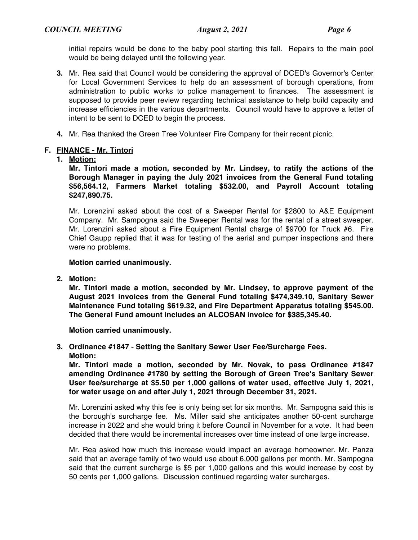initial repairs would be done to the baby pool starting this fall. Repairs to the main pool would be being delayed until the following year.

- **3.** Mr. Rea said that Council would be considering the approval of DCED's Governor's Center for Local Government Services to help do an assessment of borough operations, from administration to public works to police management to finances. The assessment is supposed to provide peer review regarding technical assistance to help build capacity and increase efficiencies in the various departments. Council would have to approve a letter of intent to be sent to DCED to begin the process.
- **4.** Mr. Rea thanked the Green Tree Volunteer Fire Company for their recent picnic.

## **F. FINANCE - Mr. Tintori**

**1. Motion:**

**Mr. Tintori made a motion, seconded by Mr. Lindsey, to ratify the actions of the Borough Manager in paying the July 2021 invoices from the General Fund totaling \$56,564.12, Farmers Market totaling \$532.00, and Payroll Account totaling \$247,890.75.**

Mr. Lorenzini asked about the cost of a Sweeper Rental for \$2800 to A&E Equipment Company. Mr. Sampogna said the Sweeper Rental was for the rental of a street sweeper. Mr. Lorenzini asked about a Fire Equipment Rental charge of \$9700 for Truck #6. Fire Chief Gaupp replied that it was for testing of the aerial and pumper inspections and there were no problems.

## **Motion carried unanimously.**

**2. Motion:**

**Mr. Tintori made a motion, seconded by Mr. Lindsey, to approve payment of the August 2021 invoices from the General Fund totaling \$474,349.10, Sanitary Sewer Maintenance Fund totaling \$619.32, and Fire Department Apparatus totaling \$545.00. The General Fund amount includes an ALCOSAN invoice for \$385,345.40.**

**Motion carried unanimously.**

## **3. Ordinance #1847 - Setting the Sanitary Sewer User Fee/Surcharge Fees. Motion:**

**Mr. Tintori made a motion, seconded by Mr. Novak, to pass Ordinance #1847 amending Ordinance #1780 by setting the Borough of Green Tree's Sanitary Sewer User fee/surcharge at \$5.50 per 1,000 gallons of water used, effective July 1, 2021, for water usage on and after July 1, 2021 through December 31, 2021.**

Mr. Lorenzini asked why this fee is only being set for six months. Mr. Sampogna said this is the borough's surcharge fee. Ms. Miller said she anticipates another 50-cent surcharge increase in 2022 and she would bring it before Council in November for a vote. It had been decided that there would be incremental increases over time instead of one large increase.

Mr. Rea asked how much this increase would impact an average homeowner. Mr. Panza said that an average family of two would use about 6,000 gallons per month. Mr. Sampogna said that the current surcharge is \$5 per 1,000 gallons and this would increase by cost by 50 cents per 1,000 gallons. Discussion continued regarding water surcharges.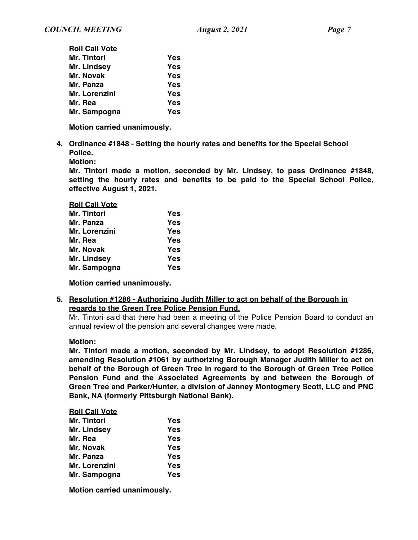| <b>Roll Call Vote</b> |            |
|-----------------------|------------|
| Mr. Tintori           | <b>Yes</b> |
| Mr. Lindsey           | Yes        |
| Mr. Novak             | Yes        |
| Mr. Panza             | Yes        |
| Mr. Lorenzini         | Yes        |
| Mr. Rea               | Yes        |
| Mr. Sampogna          | Yes        |

**Motion carried unanimously.**

#### **4. Ordinance #1848 - Setting the hourly rates and benefits for the Special School Police.**

**Motion:**

**Mr. Tintori made a motion, seconded by Mr. Lindsey, to pass Ordinance #1848, setting the hourly rates and benefits to be paid to the Special School Police, effective August 1, 2021.**

| <b>Roll Call Vote</b> |     |
|-----------------------|-----|
| Mr. Tintori           | Yes |
| Mr. Panza             | Yes |
| Mr. Lorenzini         | Yes |
| Mr. Rea               | Yes |
| Mr. Novak             | Yes |
| Mr. Lindsey           | Yes |
| Mr. Sampogna          | Yes |

**Motion carried unanimously.**

## **5. Resolution #1286 - Authorizing Judith Miller to act on behalf of the Borough in regards to the Green Tree Police Pension Fund.**

Mr. Tintori said that there had been a meeting of the Police Pension Board to conduct an annual review of the pension and several changes were made.

## **Motion:**

**Mr. Tintori made a motion, seconded by Mr. Lindsey, to adopt Resolution #1286, amending Resolution #1061 by authorizing Borough Manager Judith Miller to act on behalf of the Borough of Green Tree in regard to the Borough of Green Tree Police Pension Fund and the Associated Agreements by and between the Borough of Green Tree and Parker/Hunter, a division of Janney Montogmery Scott, LLC and PNC Bank, NA (formerly Pittsburgh National Bank).**

#### **Roll Call Vote**

| Mr. Tintori   | Yes |
|---------------|-----|
| Mr. Lindsey   | Yes |
| Mr. Rea       | Yes |
| Mr. Novak     | Yes |
| Mr. Panza     | Yes |
| Mr. Lorenzini | Yes |
| Mr. Sampogna  | Yes |

**Motion carried unanimously.**